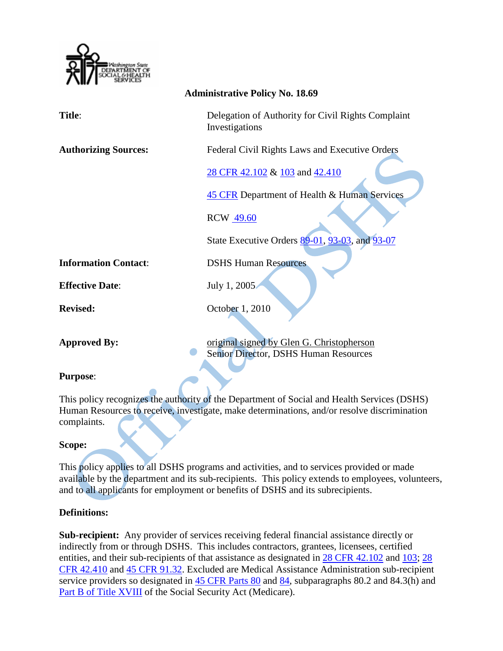

| <b>Administrative Policy No. 18.69</b> |                                                                                             |
|----------------------------------------|---------------------------------------------------------------------------------------------|
| Title:                                 | Delegation of Authority for Civil Rights Complaint<br>Investigations                        |
| <b>Authorizing Sources:</b>            | Federal Civil Rights Laws and Executive Orders                                              |
|                                        | 28 CFR 42.102 & 103 and 42.410                                                              |
|                                        | 45 CFR Department of Health & Human Services                                                |
|                                        | <b>RCW</b> 49.60                                                                            |
|                                        | State Executive Orders 89-01, 93-03, and 93-07                                              |
| <b>Information Contact:</b>            | <b>DSHS Human Resources</b>                                                                 |
| <b>Effective Date:</b>                 | July 1, 2005                                                                                |
| <b>Revised:</b>                        | October 1, 2010                                                                             |
|                                        |                                                                                             |
| <b>Approved By:</b>                    | original signed by Glen G. Christopherson<br>Senior Director, DSHS Human Resources          |
| <b>Purpose:</b>                        |                                                                                             |
|                                        | This policy recognizes the authority of the Department of Social and Health Services (DSHS) |
|                                        | Human Resources to receive, investigate, make determinations, and/or resolve discrimination |
| complaints.                            |                                                                                             |
| Scone:                                 |                                                                                             |

## **Scope:**

This policy applies to all DSHS programs and activities, and to services provided or made available by the department and its sub-recipients. This policy extends to employees, volunteers, and to all applicants for employment or benefits of DSHS and its subrecipients.

## **Definitions:**

**Sub-recipient:** Any provider of services receiving federal financial assistance directly or indirectly from or through DSHS. This includes contractors, grantees, licensees, certified entities, and their sub-recipients of that assistance as designated in [28 CFR 42.102](http://a257.g.akamaitech.net/7/257/2422/01jul20061500/edocket.access.gpo.gov/cfr_2006/julqtr/pdf/28cfr42.102.pdf) and [103;](http://a257.g.akamaitech.net/7/257/2422/01jul20061500/edocket.access.gpo.gov/cfr_2006/julqtr/pdf/28cfr42.103.pdf) [28](http://a257.g.akamaitech.net/7/257/2422/01jul20061500/edocket.access.gpo.gov/cfr_2006/julqtr/pdf/28cfr42.410.pdf)  [CFR 42.410](http://a257.g.akamaitech.net/7/257/2422/01jul20061500/edocket.access.gpo.gov/cfr_2006/julqtr/pdf/28cfr42.410.pdf) and [45 CFR 91.32.](http://a257.g.akamaitech.net/7/257/2422/13nov20061500/edocket.access.gpo.gov/cfr_2006/octqtr/pdf/45cfr91.32.pdf) Excluded are Medical Assistance Administration sub-recipient service providers so designated in [45 CFR Parts 80](http://www.access.gpo.gov/nara/cfr/waisidx_06/45cfr80_06.html) and [84,](http://www.access.gpo.gov/nara/cfr/waisidx_06/45cfr84_06.html) subparagraphs 80.2 and 84.3(h) and [Part B of Title XVIII](http://www.ssa.gov/OP_Home/ssact/title18/1800.htm) of the Social Security Act (Medicare).